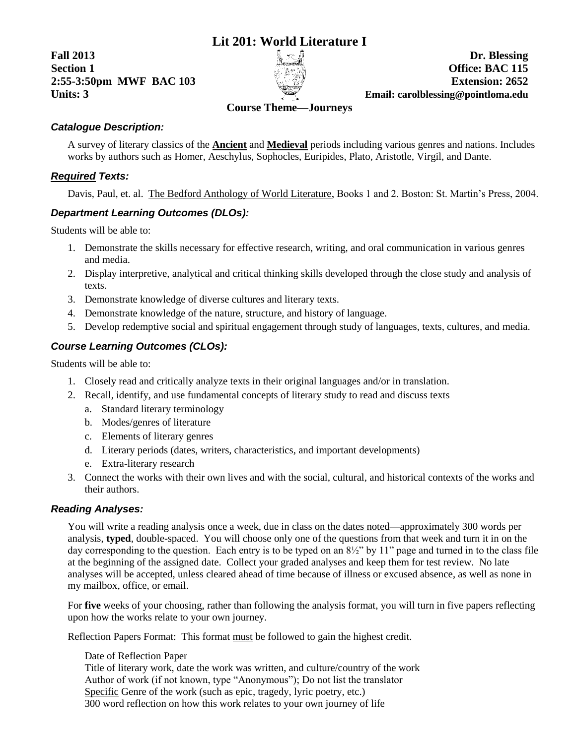# **Lit 201: World Literature I**

**Fall 2013 Dr. Blessing**



**Section 1 Office: BAC 115 2:55-3:50pm MWF BAC 103 Extension: 2652 Units: 3 Email: carolblessing@pointloma.edu**

# **Course Theme—Journeys**

#### *Catalogue Description:*

A survey of literary classics of the **Ancient** and **Medieval** periods including various genres and nations. Includes works by authors such as Homer, Aeschylus, Sophocles, Euripides, Plato, Aristotle, Virgil, and Dante.

#### *Required Texts:*

Davis, Paul, et. al. The Bedford Anthology of World Literature, Books 1 and 2. Boston: St. Martin's Press, 2004.

#### *Department Learning Outcomes (DLOs):*

Students will be able to:

- 1. Demonstrate the skills necessary for effective research, writing, and oral communication in various genres and media.
- 2. Display interpretive, analytical and critical thinking skills developed through the close study and analysis of texts.
- 3. Demonstrate knowledge of diverse cultures and literary texts.
- 4. Demonstrate knowledge of the nature, structure, and history of language.
- 5. Develop redemptive social and spiritual engagement through study of languages, texts, cultures, and media.

### *Course Learning Outcomes (CLOs):*

Students will be able to:

- 1. Closely read and critically analyze texts in their original languages and/or in translation.
- 2. Recall, identify, and use fundamental concepts of literary study to read and discuss texts
	- a. Standard literary terminology
	- b. Modes/genres of literature
	- c. Elements of literary genres
	- d. Literary periods (dates, writers, characteristics, and important developments)
	- e. Extra-literary research
- 3. Connect the works with their own lives and with the social, cultural, and historical contexts of the works and their authors.

#### *Reading Analyses:*

You will write a reading analysis once a week, due in class on the dates noted—approximately 300 words per analysis, **typed**, double-spaced. You will choose only one of the questions from that week and turn it in on the day corresponding to the question. Each entry is to be typed on an  $8\frac{1}{2}$ " by 11" page and turned in to the class file at the beginning of the assigned date. Collect your graded analyses and keep them for test review. No late analyses will be accepted, unless cleared ahead of time because of illness or excused absence, as well as none in my mailbox, office, or email.

For **five** weeks of your choosing, rather than following the analysis format, you will turn in five papers reflecting upon how the works relate to your own journey.

Reflection Papers Format: This format must be followed to gain the highest credit.

Date of Reflection Paper Title of literary work, date the work was written, and culture/country of the work Author of work (if not known, type "Anonymous"); Do not list the translator Specific Genre of the work (such as epic, tragedy, lyric poetry, etc.) 300 word reflection on how this work relates to your own journey of life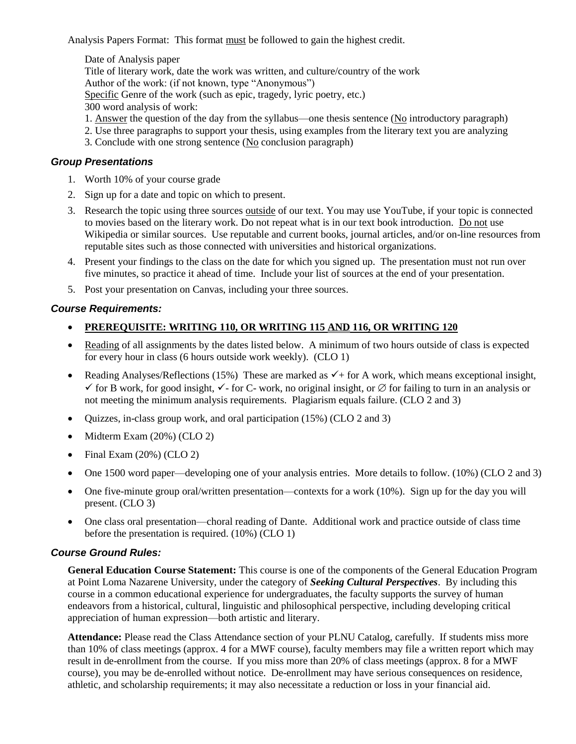Analysis Papers Format: This format must be followed to gain the highest credit.

Date of Analysis paper Title of literary work, date the work was written, and culture/country of the work Author of the work: (if not known, type "Anonymous") Specific Genre of the work (such as epic, tragedy, lyric poetry, etc.) 300 word analysis of work: 1. Answer the question of the day from the syllabus—one thesis sentence (No introductory paragraph) 2. Use three paragraphs to support your thesis, using examples from the literary text you are analyzing

3. Conclude with one strong sentence (No conclusion paragraph)

#### *Group Presentations*

- 1. Worth 10% of your course grade
- 2. Sign up for a date and topic on which to present.
- 3. Research the topic using three sources outside of our text. You may use YouTube, if your topic is connected to movies based on the literary work. Do not repeat what is in our text book introduction. Do not use Wikipedia or similar sources. Use reputable and current books, journal articles, and/or on-line resources from reputable sites such as those connected with universities and historical organizations.
- 4. Present your findings to the class on the date for which you signed up. The presentation must not run over five minutes, so practice it ahead of time. Include your list of sources at the end of your presentation.
- 5. Post your presentation on Canvas, including your three sources.

#### *Course Requirements:*

#### **PREREQUISITE: WRITING 110, OR WRITING 115 AND 116, OR WRITING 120**

- Reading of all assignments by the dates listed below. A minimum of two hours outside of class is expected for every hour in class (6 hours outside work weekly). (CLO 1)
- Reading Analyses/Reflections (15%) These are marked as  $\checkmark$  + for A work, which means exceptional insight,  $\checkmark$  for B work, for good insight,  $\checkmark$ - for C- work, no original insight, or  $\varnothing$  for failing to turn in an analysis or not meeting the minimum analysis requirements. Plagiarism equals failure. (CLO 2 and 3)
- Quizzes, in-class group work, and oral participation (15%) (CLO 2 and 3)
- $\bullet$  Midterm Exam (20%) (CLO 2)
- Final Exam  $(20\%)$  (CLO 2)
- One 1500 word paper—developing one of your analysis entries. More details to follow. (10%) (CLO 2 and 3)
- One five-minute group oral/written presentation—contexts for a work (10%). Sign up for the day you will present. (CLO 3)
- One class oral presentation—choral reading of Dante. Additional work and practice outside of class time before the presentation is required. (10%) (CLO 1)

#### *Course Ground Rules:*

**General Education Course Statement:** This course is one of the components of the General Education Program at Point Loma Nazarene University, under the category of *Seeking Cultural Perspectives*. By including this course in a common educational experience for undergraduates, the faculty supports the survey of human endeavors from a historical, cultural, linguistic and philosophical perspective, including developing critical appreciation of human expression—both artistic and literary.

**Attendance:** Please read the Class Attendance section of your PLNU Catalog, carefully. If students miss more than 10% of class meetings (approx. 4 for a MWF course), faculty members may file a written report which may result in de-enrollment from the course. If you miss more than 20% of class meetings (approx. 8 for a MWF course), you may be de-enrolled without notice. De-enrollment may have serious consequences on residence, athletic, and scholarship requirements; it may also necessitate a reduction or loss in your financial aid.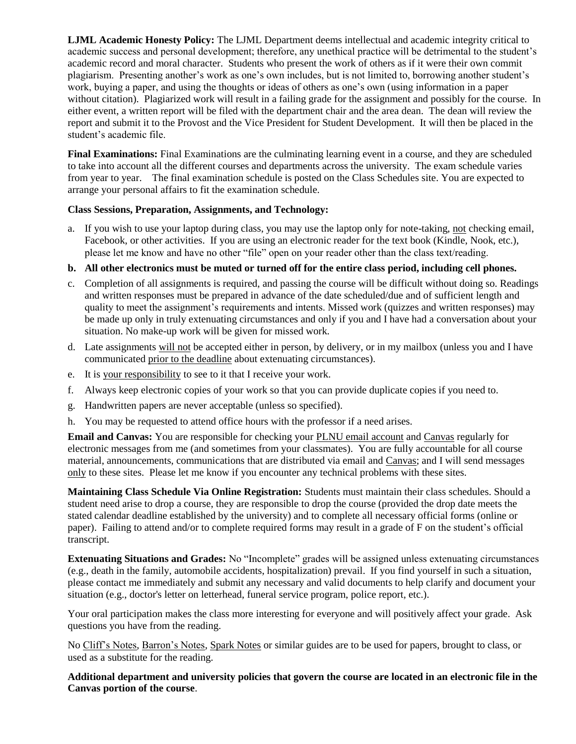**LJML Academic Honesty Policy:** The LJML Department deems intellectual and academic integrity critical to academic success and personal development; therefore, any unethical practice will be detrimental to the student's academic record and moral character. Students who present the work of others as if it were their own commit plagiarism. Presenting another's work as one's own includes, but is not limited to, borrowing another student's work, buying a paper, and using the thoughts or ideas of others as one's own (using information in a paper without citation). Plagiarized work will result in a failing grade for the assignment and possibly for the course. In either event, a written report will be filed with the department chair and the area dean. The dean will review the report and submit it to the Provost and the Vice President for Student Development. It will then be placed in the student's academic file.

**Final Examinations:** Final Examinations are the culminating learning event in a course, and they are scheduled to take into account all the different courses and departments across the university. The exam schedule varies from year to year. The final examination schedule is posted on the Class Schedules site. You are expected to arrange your personal affairs to fit the examination schedule.

#### **Class Sessions, Preparation, Assignments, and Technology:**

a. If you wish to use your laptop during class, you may use the laptop only for note-taking, not checking email, Facebook, or other activities. If you are using an electronic reader for the text book (Kindle, Nook, etc.), please let me know and have no other "file" open on your reader other than the class text/reading.

#### **b. All other electronics must be muted or turned off for the entire class period, including cell phones.**

- c. Completion of all assignments is required, and passing the course will be difficult without doing so. Readings and written responses must be prepared in advance of the date scheduled/due and of sufficient length and quality to meet the assignment's requirements and intents. Missed work (quizzes and written responses) may be made up only in truly extenuating circumstances and only if you and I have had a conversation about your situation. No make-up work will be given for missed work.
- d. Late assignments will not be accepted either in person, by delivery, or in my mailbox (unless you and I have communicated prior to the deadline about extenuating circumstances).
- e. It is your responsibility to see to it that I receive your work.
- f. Always keep electronic copies of your work so that you can provide duplicate copies if you need to.
- g. Handwritten papers are never acceptable (unless so specified).
- h. You may be requested to attend office hours with the professor if a need arises.

**Email and Canvas:** You are responsible for checking your PLNU email account and Canvas regularly for electronic messages from me (and sometimes from your classmates). You are fully accountable for all course material, announcements, communications that are distributed via email and Canvas; and I will send messages only to these sites. Please let me know if you encounter any technical problems with these sites.

**Maintaining Class Schedule Via Online Registration:** Students must maintain their class schedules. Should a student need arise to drop a course, they are responsible to drop the course (provided the drop date meets the stated calendar deadline established by the university) and to complete all necessary official forms (online or paper). Failing to attend and/or to complete required forms may result in a grade of F on the student's official transcript.

**Extenuating Situations and Grades:** No "Incomplete" grades will be assigned unless extenuating circumstances (e.g., death in the family, automobile accidents, hospitalization) prevail. If you find yourself in such a situation, please contact me immediately and submit any necessary and valid documents to help clarify and document your situation (e.g., doctor's letter on letterhead, funeral service program, police report, etc.).

Your oral participation makes the class more interesting for everyone and will positively affect your grade. Ask questions you have from the reading.

No Cliff's Notes, Barron's Notes, Spark Notes or similar guides are to be used for papers, brought to class, or used as a substitute for the reading.

**Additional department and university policies that govern the course are located in an electronic file in the Canvas portion of the course**.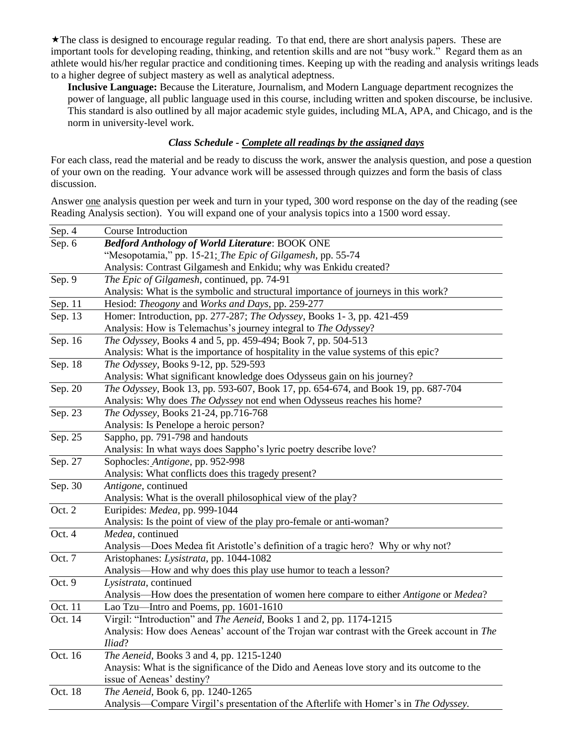The class is designed to encourage regular reading. To that end, there are short analysis papers. These are important tools for developing reading, thinking, and retention skills and are not "busy work." Regard them as an athlete would his/her regular practice and conditioning times. Keeping up with the reading and analysis writings leads to a higher degree of subject mastery as well as analytical adeptness.

**Inclusive Language:** Because the Literature, Journalism, and Modern Language department recognizes the power of language, all public language used in this course, including written and spoken discourse, be inclusive. This standard is also outlined by all major academic style guides, including MLA, APA, and Chicago, and is the norm in university-level work.

#### *Class Schedule - Complete all readings by the assigned days*

For each class, read the material and be ready to discuss the work, answer the analysis question, and pose a question of your own on the reading. Your advance work will be assessed through quizzes and form the basis of class discussion.

Answer one analysis question per week and turn in your typed, 300 word response on the day of the reading (see Reading Analysis section). You will expand one of your analysis topics into a 1500 word essay.

| Sep. 4    | Course Introduction                                                                         |  |  |
|-----------|---------------------------------------------------------------------------------------------|--|--|
| Sep. 6    | <b>Bedford Anthology of World Literature: BOOK ONE</b>                                      |  |  |
|           | "Mesopotamia," pp. 15-21; The Epic of Gilgamesh, pp. 55-74                                  |  |  |
|           | Analysis: Contrast Gilgamesh and Enkidu; why was Enkidu created?                            |  |  |
| Sep. 9    | The Epic of Gilgamesh, continued, pp. 74-91                                                 |  |  |
|           | Analysis: What is the symbolic and structural importance of journeys in this work?          |  |  |
| Sep. 11   | Hesiod: Theogony and Works and Days, pp. 259-277                                            |  |  |
| Sep. 13   | Homer: Introduction, pp. 277-287; The Odyssey, Books 1-3, pp. 421-459                       |  |  |
|           | Analysis: How is Telemachus's journey integral to The Odyssey?                              |  |  |
| Sep. 16   | The Odyssey, Books 4 and 5, pp. 459-494; Book 7, pp. 504-513                                |  |  |
|           | Analysis: What is the importance of hospitality in the value systems of this epic?          |  |  |
| Sep. 18   | The Odyssey, Books 9-12, pp. 529-593                                                        |  |  |
|           | Analysis: What significant knowledge does Odysseus gain on his journey?                     |  |  |
| Sep. 20   | The Odyssey, Book 13, pp. 593-607, Book 17, pp. 654-674, and Book 19, pp. 687-704           |  |  |
|           | Analysis: Why does The Odyssey not end when Odysseus reaches his home?                      |  |  |
| Sep. 23   | The Odyssey, Books 21-24, pp.716-768                                                        |  |  |
|           | Analysis: Is Penelope a heroic person?                                                      |  |  |
| Sep. 25   | Sappho, pp. 791-798 and handouts                                                            |  |  |
|           | Analysis: In what ways does Sappho's lyric poetry describe love?                            |  |  |
| Sep. 27   | Sophocles: Antigone, pp. 952-998                                                            |  |  |
|           | Analysis: What conflicts does this tragedy present?                                         |  |  |
| Sep. 30   | Antigone, continued                                                                         |  |  |
|           | Analysis: What is the overall philosophical view of the play?                               |  |  |
| Oct. 2    | Euripides: Medea, pp. 999-1044                                                              |  |  |
|           | Analysis: Is the point of view of the play pro-female or anti-woman?                        |  |  |
| Oct. 4    | Medea, continued                                                                            |  |  |
|           | Analysis—Does Medea fit Aristotle's definition of a tragic hero? Why or why not?            |  |  |
| Oct. 7    | Aristophanes: Lysistrata, pp. 1044-1082                                                     |  |  |
|           | Analysis—How and why does this play use humor to teach a lesson?                            |  |  |
| Oct. 9    | Lysistrata, continued                                                                       |  |  |
|           | Analysis—How does the presentation of women here compare to either Antigone or Medea?       |  |  |
| Oct. 11   | Lao Tzu-Intro and Poems, pp. 1601-1610                                                      |  |  |
| Oct. 14   | Virgil: "Introduction" and The Aeneid, Books 1 and 2, pp. 1174-1215                         |  |  |
|           | Analysis: How does Aeneas' account of the Trojan war contrast with the Greek account in The |  |  |
|           | Iliad?                                                                                      |  |  |
| Oct. $16$ | The Aeneid, Books 3 and 4, pp. 1215-1240                                                    |  |  |
|           | Anaysis: What is the significance of the Dido and Aeneas love story and its outcome to the  |  |  |
|           | issue of Aeneas' destiny?                                                                   |  |  |
| Oct. 18   | The Aeneid, Book 6, pp. 1240-1265                                                           |  |  |
|           | Analysis—Compare Virgil's presentation of the Afterlife with Homer's in The Odyssey.        |  |  |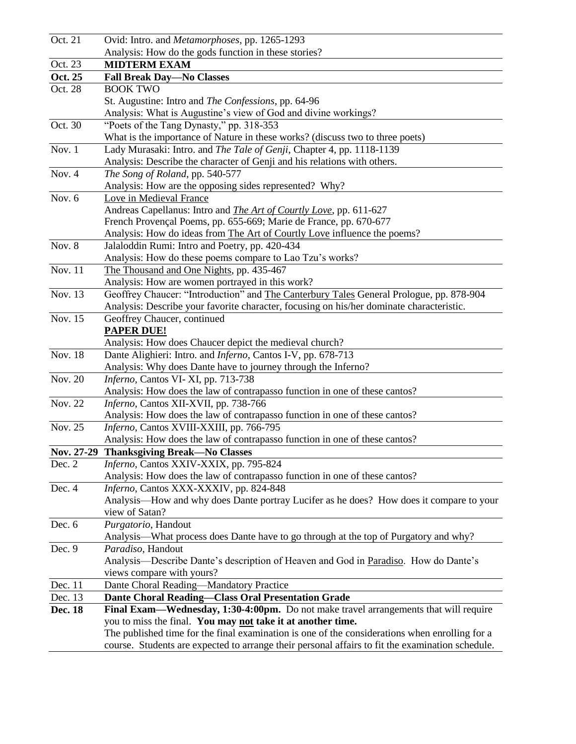| Oct. 21   | Ovid: Intro. and Metamorphoses, pp. 1265-1293                                                                                         |  |  |
|-----------|---------------------------------------------------------------------------------------------------------------------------------------|--|--|
|           | Analysis: How do the gods function in these stories?                                                                                  |  |  |
| Oct. 23   | <b>MIDTERM EXAM</b>                                                                                                                   |  |  |
| Oct. 25   | <b>Fall Break Day-No Classes</b>                                                                                                      |  |  |
| Oct. 28   | <b>BOOK TWO</b>                                                                                                                       |  |  |
|           | St. Augustine: Intro and The Confessions, pp. 64-96                                                                                   |  |  |
|           | Analysis: What is Augustine's view of God and divine workings?                                                                        |  |  |
| Oct. 30   | "Poets of the Tang Dynasty," pp. 318-353                                                                                              |  |  |
|           | What is the importance of Nature in these works? (discuss two to three poets)                                                         |  |  |
| Nov. $1$  | Lady Murasaki: Intro. and The Tale of Genji, Chapter 4, pp. 1118-1139                                                                 |  |  |
|           | Analysis: Describe the character of Genji and his relations with others.                                                              |  |  |
| Nov. 4    | The Song of Roland, pp. 540-577                                                                                                       |  |  |
|           | Analysis: How are the opposing sides represented? Why?                                                                                |  |  |
| Nov. 6    | Love in Medieval France                                                                                                               |  |  |
|           | Andreas Capellanus: Intro and <i>The Art of Courtly Love</i> , pp. 611-627                                                            |  |  |
|           | French Provençal Poems, pp. 655-669; Marie de France, pp. 670-677                                                                     |  |  |
|           | Analysis: How do ideas from The Art of Courtly Love influence the poems?                                                              |  |  |
| Nov. 8    | Jalaloddin Rumi: Intro and Poetry, pp. 420-434                                                                                        |  |  |
|           | Analysis: How do these poems compare to Lao Tzu's works?                                                                              |  |  |
| Nov. 11   | The Thousand and One Nights, pp. 435-467                                                                                              |  |  |
|           | Analysis: How are women portrayed in this work?                                                                                       |  |  |
| Nov. 13   | Geoffrey Chaucer: "Introduction" and The Canterbury Tales General Prologue, pp. 878-904                                               |  |  |
|           | Analysis: Describe your favorite character, focusing on his/her dominate characteristic.                                              |  |  |
| Nov. $15$ | Geoffrey Chaucer, continued                                                                                                           |  |  |
|           | <b>PAPER DUE!</b>                                                                                                                     |  |  |
| Nov. 18   | Analysis: How does Chaucer depict the medieval church?                                                                                |  |  |
|           | Dante Alighieri: Intro. and <i>Inferno</i> , Cantos I-V, pp. 678-713<br>Analysis: Why does Dante have to journey through the Inferno? |  |  |
| Nov. 20   | Inferno, Cantos VI-XI, pp. 713-738                                                                                                    |  |  |
|           | Analysis: How does the law of contrapasso function in one of these cantos?                                                            |  |  |
| Nov. 22   | Inferno, Cantos XII-XVII, pp. 738-766                                                                                                 |  |  |
|           | Analysis: How does the law of contrapasso function in one of these cantos?                                                            |  |  |
| Nov. 25   | Inferno, Cantos XVIII-XXIII, pp. 766-795                                                                                              |  |  |
|           | Analysis: How does the law of contrapasso function in one of these cantos?                                                            |  |  |
|           | Nov. 27-29 Thanksgiving Break-No Classes                                                                                              |  |  |
| Dec. 2    | Inferno, Cantos XXIV-XXIX, pp. 795-824                                                                                                |  |  |
|           | Analysis: How does the law of contrapasso function in one of these cantos?                                                            |  |  |
| Dec. 4    | Inferno, Cantos XXX-XXXIV, pp. 824-848                                                                                                |  |  |
|           | Analysis—How and why does Dante portray Lucifer as he does? How does it compare to your                                               |  |  |
|           | view of Satan?                                                                                                                        |  |  |
| Dec. 6    | Purgatorio, Handout                                                                                                                   |  |  |
|           | Analysis—What process does Dante have to go through at the top of Purgatory and why?                                                  |  |  |
| Dec. 9    | Paradiso, Handout                                                                                                                     |  |  |
|           | Analysis—Describe Dante's description of Heaven and God in Paradiso. How do Dante's                                                   |  |  |
|           | views compare with yours?                                                                                                             |  |  |
| Dec. 11   | Dante Choral Reading-Mandatory Practice                                                                                               |  |  |
| Dec. 13   | <b>Dante Choral Reading-Class Oral Presentation Grade</b>                                                                             |  |  |
| Dec. 18   | Final Exam—Wednesday, 1:30-4:00pm. Do not make travel arrangements that will require                                                  |  |  |
|           | you to miss the final. You may not take it at another time.                                                                           |  |  |
|           | The published time for the final examination is one of the considerations when enrolling for a                                        |  |  |
|           | course. Students are expected to arrange their personal affairs to fit the examination schedule.                                      |  |  |